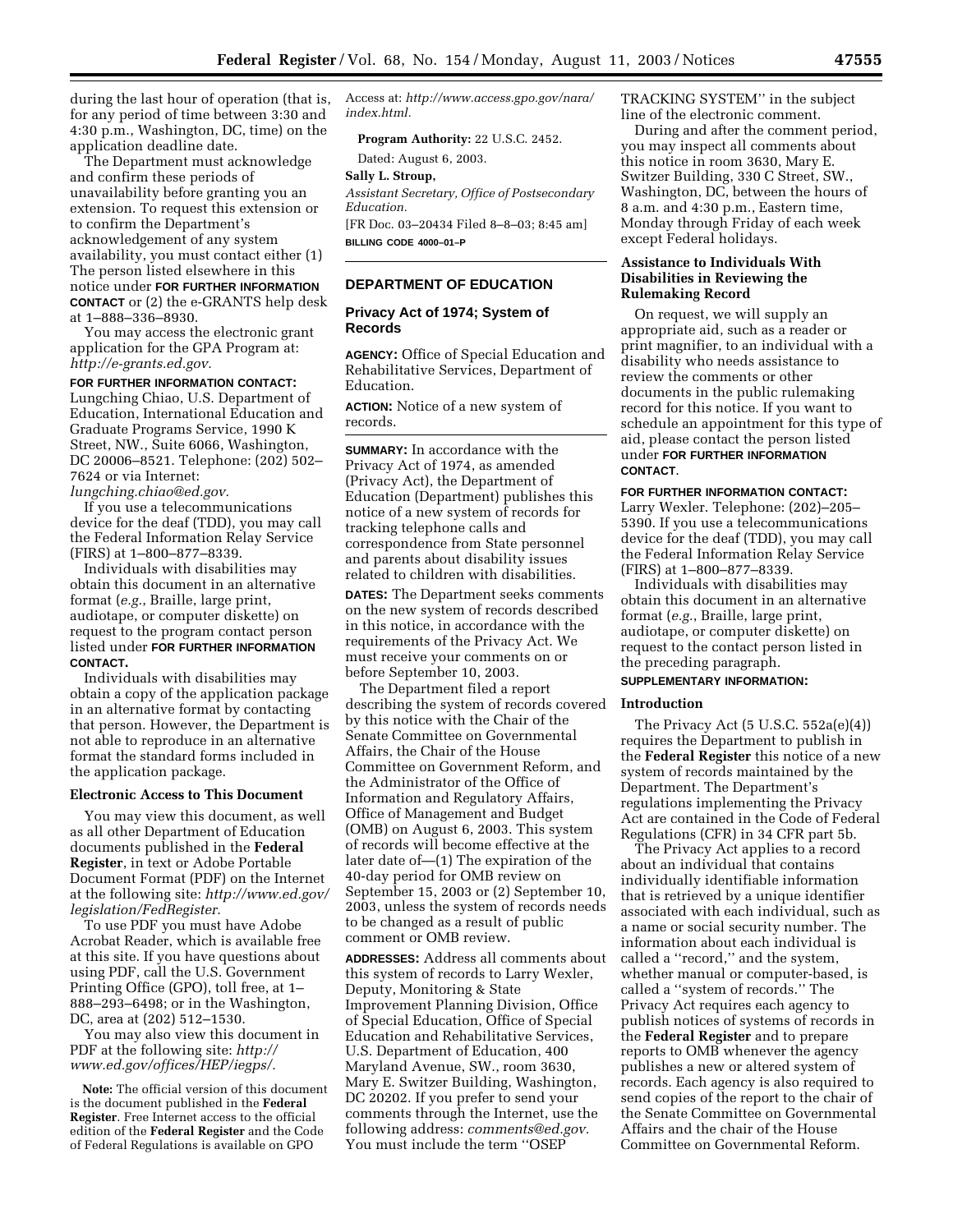during the last hour of operation (that is, for any period of time between 3:30 and 4:30 p.m., Washington, DC, time) on the application deadline date.

The Department must acknowledge and confirm these periods of unavailability before granting you an extension. To request this extension or to confirm the Department's acknowledgement of any system availability, you must contact either (1) The person listed elsewhere in this notice under **FOR FURTHER INFORMATION CONTACT** or (2) the e-GRANTS help desk at 1–888–336–8930.

You may access the electronic grant application for the GPA Program at: *http://e-grants.ed.gov.* 

# **FOR FURTHER INFORMATION CONTACT:**

Lungching Chiao, U.S. Department of Education, International Education and Graduate Programs Service, 1990 K Street, NW., Suite 6066, Washington, DC 20006–8521. Telephone: (202) 502– 7624 or via Internet: *lungching.chiao@ed.gov.* 

If you use a telecommunications device for the deaf (TDD), you may call the Federal Information Relay Service (FIRS) at 1–800–877–8339.

Individuals with disabilities may obtain this document in an alternative format (*e.g.*, Braille, large print, audiotape, or computer diskette) on request to the program contact person listed under **FOR FURTHER INFORMATION CONTACT.** 

Individuals with disabilities may obtain a copy of the application package in an alternative format by contacting that person. However, the Department is not able to reproduce in an alternative format the standard forms included in the application package.

## **Electronic Access to This Document**

You may view this document, as well as all other Department of Education documents published in the **Federal Register**, in text or Adobe Portable Document Format (PDF) on the Internet at the following site: *http://www.ed.gov/ legislation/FedRegister.* 

To use PDF you must have Adobe Acrobat Reader, which is available free at this site. If you have questions about using PDF, call the U.S. Government Printing Office (GPO), toll free, at 1– 888–293–6498; or in the Washington, DC, area at (202) 512–1530.

You may also view this document in PDF at the following site: *http:// www.ed.gov/offices/HEP/iegps/.* 

**Note:** The official version of this document is the document published in the **Federal Register**. Free Internet access to the official edition of the **Federal Register** and the Code of Federal Regulations is available on GPO

Access at: *http://www.access.gpo.gov/nara/ index.html.* 

**Program Authority:** 22 U.S.C. 2452.

Dated: August 6, 2003.

# **Sally L. Stroup,**

*Assistant Secretary, Office of Postsecondary Education.* 

[FR Doc. 03–20434 Filed 8–8–03; 8:45 am] **BILLING CODE 4000–01–P** 

# **DEPARTMENT OF EDUCATION**

# **Privacy Act of 1974; System of Records**

**AGENCY:** Office of Special Education and Rehabilitative Services, Department of Education.

**ACTION:** Notice of a new system of records.

**SUMMARY:** In accordance with the Privacy Act of 1974, as amended (Privacy Act), the Department of Education (Department) publishes this notice of a new system of records for tracking telephone calls and correspondence from State personnel and parents about disability issues related to children with disabilities.

**DATES:** The Department seeks comments on the new system of records described in this notice, in accordance with the requirements of the Privacy Act. We must receive your comments on or before September 10, 2003.

The Department filed a report describing the system of records covered by this notice with the Chair of the Senate Committee on Governmental Affairs, the Chair of the House Committee on Government Reform, and the Administrator of the Office of Information and Regulatory Affairs, Office of Management and Budget (OMB) on August 6, 2003. This system of records will become effective at the later date of—(1) The expiration of the 40-day period for OMB review on September 15, 2003 or (2) September 10, 2003, unless the system of records needs to be changed as a result of public comment or OMB review.

**ADDRESSES:** Address all comments about this system of records to Larry Wexler, Deputy, Monitoring & State Improvement Planning Division, Office of Special Education, Office of Special Education and Rehabilitative Services, U.S. Department of Education, 400 Maryland Avenue, SW., room 3630, Mary E. Switzer Building, Washington, DC 20202. If you prefer to send your comments through the Internet, use the following address: *comments@ed.gov.*  You must include the term ''OSEP

TRACKING SYSTEM'' in the subject line of the electronic comment.

During and after the comment period, you may inspect all comments about this notice in room 3630, Mary E. Switzer Building, 330 C Street, SW., Washington, DC, between the hours of 8 a.m. and 4:30 p.m., Eastern time, Monday through Friday of each week except Federal holidays.

# **Assistance to Individuals With Disabilities in Reviewing the Rulemaking Record**

On request, we will supply an appropriate aid, such as a reader or print magnifier, to an individual with a disability who needs assistance to review the comments or other documents in the public rulemaking record for this notice. If you want to schedule an appointment for this type of aid, please contact the person listed under **FOR FURTHER INFORMATION CONTACT**.

#### **FOR FURTHER INFORMATION CONTACT:**

Larry Wexler. Telephone: (202)–205– 5390. If you use a telecommunications device for the deaf (TDD), you may call the Federal Information Relay Service (FIRS) at 1–800–877–8339.

Individuals with disabilities may obtain this document in an alternative format (*e.g.*, Braille, large print, audiotape, or computer diskette) on request to the contact person listed in the preceding paragraph.

# **SUPPLEMENTARY INFORMATION:**

### **Introduction**

The Privacy Act (5 U.S.C. 552a(e)(4)) requires the Department to publish in the **Federal Register** this notice of a new system of records maintained by the Department. The Department's regulations implementing the Privacy Act are contained in the Code of Federal Regulations (CFR) in 34 CFR part 5b.

The Privacy Act applies to a record about an individual that contains individually identifiable information that is retrieved by a unique identifier associated with each individual, such as a name or social security number. The information about each individual is called a ''record,'' and the system, whether manual or computer-based, is called a ''system of records.'' The Privacy Act requires each agency to publish notices of systems of records in the **Federal Register** and to prepare reports to OMB whenever the agency publishes a new or altered system of records. Each agency is also required to send copies of the report to the chair of the Senate Committee on Governmental Affairs and the chair of the House Committee on Governmental Reform.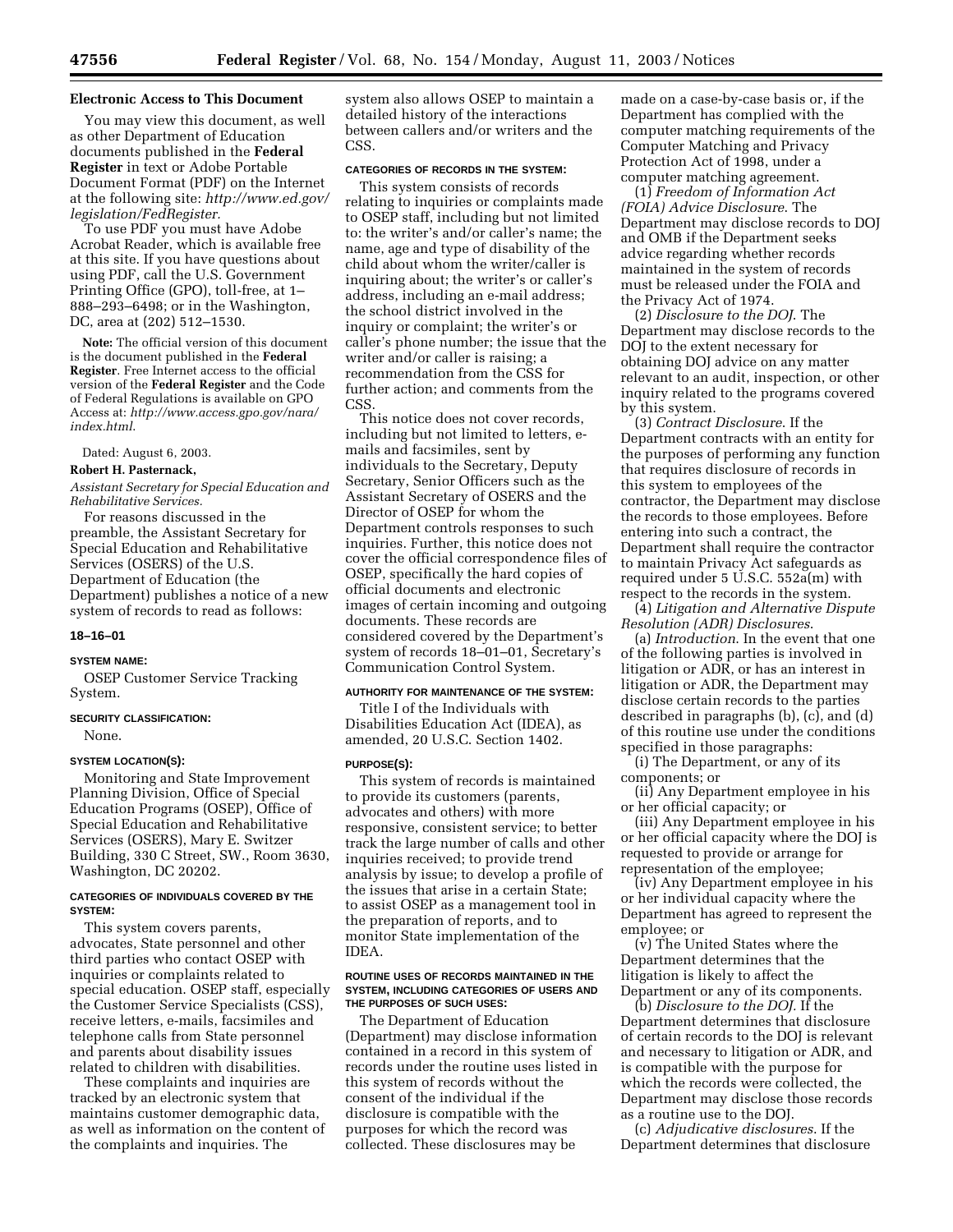### **Electronic Access to This Document**

You may view this document, as well as other Department of Education documents published in the **Federal Register** in text or Adobe Portable Document Format (PDF) on the Internet at the following site: *http://www.ed.gov/ legislation/FedRegister.* 

To use PDF you must have Adobe Acrobat Reader, which is available free at this site. If you have questions about using PDF, call the U.S. Government Printing Office (GPO), toll-free, at 1– 888–293–6498; or in the Washington, DC, area at (202) 512–1530.

**Note:** The official version of this document is the document published in the **Federal Register**. Free Internet access to the official version of the **Federal Register** and the Code of Federal Regulations is available on GPO Access at: *http://www.access.gpo.gov/nara/ index.html*.

Dated: August 6, 2003.

#### **Robert H. Pasternack,**

*Assistant Secretary for Special Education and Rehabilitative Services.* 

For reasons discussed in the preamble, the Assistant Secretary for Special Education and Rehabilitative Services (OSERS) of the U.S. Department of Education (the Department) publishes a notice of a new system of records to read as follows:

## **18–16–01**

#### **SYSTEM NAME:**

OSEP Customer Service Tracking System.

#### **SECURITY CLASSIFICATION:**

None.

# **SYSTEM LOCATION(S):**

Monitoring and State Improvement Planning Division, Office of Special Education Programs (OSEP), Office of Special Education and Rehabilitative Services (OSERS), Mary E. Switzer Building, 330 C Street, SW., Room 3630, Washington, DC 20202.

## **CATEGORIES OF INDIVIDUALS COVERED BY THE SYSTEM:**

This system covers parents, advocates, State personnel and other third parties who contact OSEP with inquiries or complaints related to special education. OSEP staff, especially the Customer Service Specialists (CSS), receive letters, e-mails, facsimiles and telephone calls from State personnel and parents about disability issues related to children with disabilities.

These complaints and inquiries are tracked by an electronic system that maintains customer demographic data, as well as information on the content of the complaints and inquiries. The

system also allows OSEP to maintain a detailed history of the interactions between callers and/or writers and the CSS.

# **CATEGORIES OF RECORDS IN THE SYSTEM:**

This system consists of records relating to inquiries or complaints made to OSEP staff, including but not limited to: the writer's and/or caller's name; the name, age and type of disability of the child about whom the writer/caller is inquiring about; the writer's or caller's address, including an e-mail address; the school district involved in the inquiry or complaint; the writer's or caller's phone number; the issue that the writer and/or caller is raising; a recommendation from the CSS for further action; and comments from the CSS.

This notice does not cover records, including but not limited to letters, emails and facsimiles, sent by individuals to the Secretary, Deputy Secretary, Senior Officers such as the Assistant Secretary of OSERS and the Director of OSEP for whom the Department controls responses to such inquiries. Further, this notice does not cover the official correspondence files of OSEP, specifically the hard copies of official documents and electronic images of certain incoming and outgoing documents. These records are considered covered by the Department's system of records 18–01–01, Secretary's Communication Control System.

### **AUTHORITY FOR MAINTENANCE OF THE SYSTEM:**

Title I of the Individuals with Disabilities Education Act (IDEA), as amended, 20 U.S.C. Section 1402.

#### **PURPOSE(S):**

This system of records is maintained to provide its customers (parents, advocates and others) with more responsive, consistent service; to better track the large number of calls and other inquiries received; to provide trend analysis by issue; to develop a profile of the issues that arise in a certain State; to assist OSEP as a management tool in the preparation of reports, and to monitor State implementation of the IDEA.

#### **ROUTINE USES OF RECORDS MAINTAINED IN THE SYSTEM, INCLUDING CATEGORIES OF USERS AND THE PURPOSES OF SUCH USES:**

The Department of Education (Department) may disclose information contained in a record in this system of records under the routine uses listed in this system of records without the consent of the individual if the disclosure is compatible with the purposes for which the record was collected. These disclosures may be

made on a case-by-case basis or, if the Department has complied with the computer matching requirements of the Computer Matching and Privacy Protection Act of 1998, under a computer matching agreement.

(1) *Freedom of Information Act (FOIA) Advice Disclosure*. The Department may disclose records to DOJ and OMB if the Department seeks advice regarding whether records maintained in the system of records must be released under the FOIA and the Privacy Act of 1974.

(2) *Disclosure to the DOJ*. The Department may disclose records to the DOJ to the extent necessary for obtaining DOJ advice on any matter relevant to an audit, inspection, or other inquiry related to the programs covered by this system.

(3) *Contract Disclosure*. If the Department contracts with an entity for the purposes of performing any function that requires disclosure of records in this system to employees of the contractor, the Department may disclose the records to those employees. Before entering into such a contract, the Department shall require the contractor to maintain Privacy Act safeguards as required under 5 U.S.C. 552a(m) with respect to the records in the system.

(4) *Litigation and Alternative Dispute Resolution (ADR) Disclosures*.

(a) *Introduction*. In the event that one of the following parties is involved in litigation or ADR, or has an interest in litigation or ADR, the Department may disclose certain records to the parties described in paragraphs (b), (c), and (d) of this routine use under the conditions specified in those paragraphs:

(i) The Department, or any of its components; or

(ii) Any Department employee in his or her official capacity; or

(iii) Any Department employee in his or her official capacity where the DOJ is requested to provide or arrange for representation of the employee;

(iv) Any Department employee in his or her individual capacity where the Department has agreed to represent the employee; or

(v) The United States where the Department determines that the litigation is likely to affect the Department or any of its components.

(b) *Disclosure to the DOJ.* If the Department determines that disclosure of certain records to the DOJ is relevant and necessary to litigation or ADR, and is compatible with the purpose for which the records were collected, the Department may disclose those records as a routine use to the DOJ.

(c) *Adjudicative disclosures*. If the Department determines that disclosure